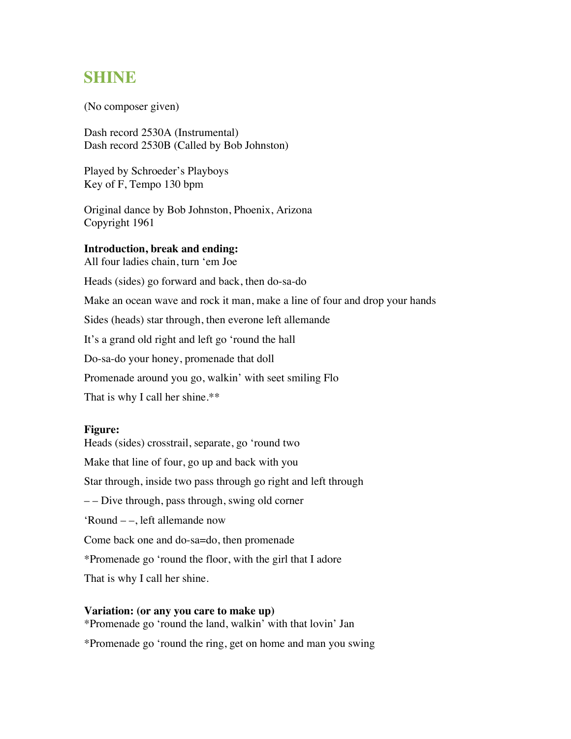# **SHINE**

(No composer given)

Dash record 2530A (Instrumental) Dash record 2530B (Called by Bob Johnston)

Played by Schroeder's Playboys Key of F, Tempo 130 bpm

Original dance by Bob Johnston, Phoenix, Arizona Copyright 1961

## **Introduction, break and ending:**

All four ladies chain, turn 'em Joe

Heads (sides) go forward and back, then do-sa-do

Make an ocean wave and rock it man, make a line of four and drop your hands

Sides (heads) star through, then everone left allemande

It's a grand old right and left go 'round the hall

Do-sa-do your honey, promenade that doll

Promenade around you go, walkin' with seet smiling Flo

That is why I call her shine.\*\*

### **Figure:**

Heads (sides) crosstrail, separate, go 'round two Make that line of four, go up and back with you Star through, inside two pass through go right and left through – – Dive through, pass through, swing old corner 'Round – –, left allemande now Come back one and do-sa=do, then promenade \*Promenade go 'round the floor, with the girl that I adore That is why I call her shine.

### **Variation: (or any you care to make up)**

\*Promenade go 'round the land, walkin' with that lovin' Jan \*Promenade go 'round the ring, get on home and man you swing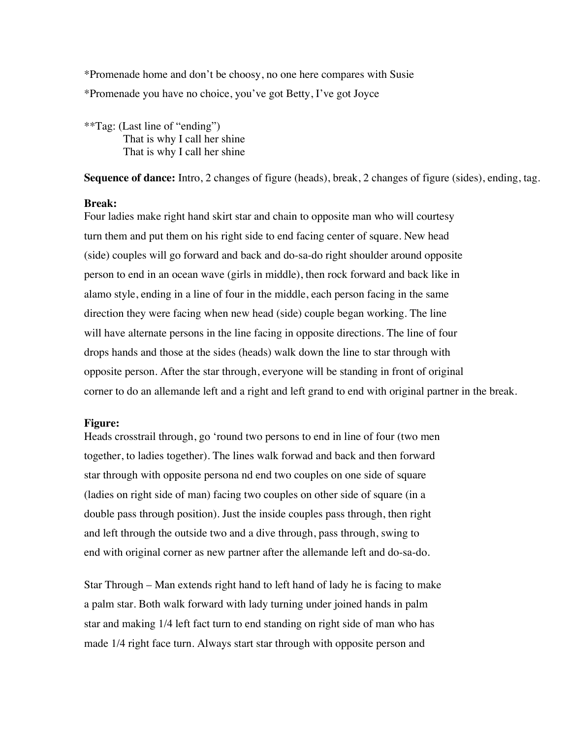\*Promenade home and don't be choosy, no one here compares with Susie \*Promenade you have no choice, you've got Betty, I've got Joyce

\*\*Tag: (Last line of "ending") That is why I call her shine That is why I call her shine

**Sequence of dance:** Intro, 2 changes of figure (heads), break, 2 changes of figure (sides), ending, tag.

#### **Break:**

Four ladies make right hand skirt star and chain to opposite man who will courtesy turn them and put them on his right side to end facing center of square. New head (side) couples will go forward and back and do-sa-do right shoulder around opposite person to end in an ocean wave (girls in middle), then rock forward and back like in alamo style, ending in a line of four in the middle, each person facing in the same direction they were facing when new head (side) couple began working. The line will have alternate persons in the line facing in opposite directions. The line of four drops hands and those at the sides (heads) walk down the line to star through with opposite person. After the star through, everyone will be standing in front of original corner to do an allemande left and a right and left grand to end with original partner in the break.

### **Figure:**

Heads crosstrail through, go 'round two persons to end in line of four (two men together, to ladies together). The lines walk forwad and back and then forward star through with opposite persona nd end two couples on one side of square (ladies on right side of man) facing two couples on other side of square (in a double pass through position). Just the inside couples pass through, then right and left through the outside two and a dive through, pass through, swing to end with original corner as new partner after the allemande left and do-sa-do.

Star Through – Man extends right hand to left hand of lady he is facing to make a palm star. Both walk forward with lady turning under joined hands in palm star and making 1/4 left fact turn to end standing on right side of man who has made 1/4 right face turn. Always start star through with opposite person and